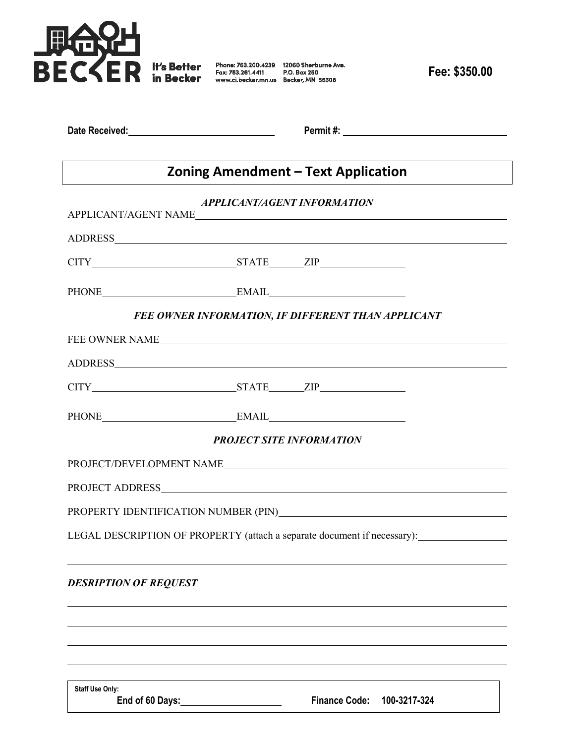

**Fee: \$350.00**

|  | Date Received: |  |  |  |  |
|--|----------------|--|--|--|--|
|--|----------------|--|--|--|--|

**Permit #: \_\_\_\_\_\_\_\_\_\_\_\_** 

## **Zoning Amendment – Text Application**

|                                                                          | <b>APPLICANT/AGENT INFORMATION</b> |                      |              |  |  |  |
|--------------------------------------------------------------------------|------------------------------------|----------------------|--------------|--|--|--|
| APPLICANT/AGENT NAME                                                     |                                    |                      |              |  |  |  |
|                                                                          |                                    |                      |              |  |  |  |
|                                                                          |                                    |                      |              |  |  |  |
| PHONE EMAIL EMAIL                                                        |                                    |                      |              |  |  |  |
| FEE OWNER INFORMATION, IF DIFFERENT THAN APPLICANT                       |                                    |                      |              |  |  |  |
|                                                                          |                                    |                      |              |  |  |  |
|                                                                          |                                    |                      |              |  |  |  |
|                                                                          |                                    |                      |              |  |  |  |
| PHONE EMAIL EMAIL                                                        |                                    |                      |              |  |  |  |
| <b>PROJECT SITE INFORMATION</b>                                          |                                    |                      |              |  |  |  |
|                                                                          |                                    |                      |              |  |  |  |
|                                                                          |                                    |                      |              |  |  |  |
|                                                                          |                                    |                      |              |  |  |  |
| LEGAL DESCRIPTION OF PROPERTY (attach a separate document if necessary): |                                    |                      |              |  |  |  |
|                                                                          |                                    |                      |              |  |  |  |
|                                                                          |                                    |                      |              |  |  |  |
|                                                                          |                                    |                      |              |  |  |  |
|                                                                          |                                    |                      |              |  |  |  |
| <b>Staff Use Only:</b><br>End of 60 Days: _________________              |                                    | <b>Finance Code:</b> | 100-3217-324 |  |  |  |